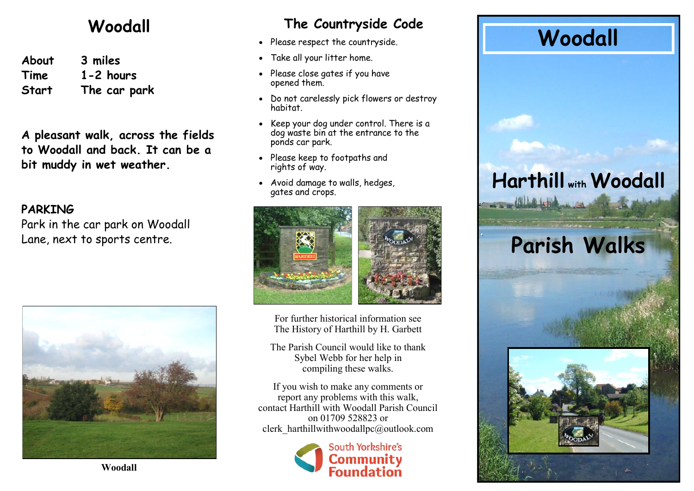#### **Woodall**

**About 3 miles Time 1-2 hours Start The car park**

**A pleasant walk, across the fields to Woodall and back. It can be a bit muddy in wet weather.**

#### **PARKING**

Park in the car park on Woodall Lane, next to sports centre.



#### **The Countryside Code**

- Please respect the countryside.
- Take all your litter home.
- Please close gates if you have opened them.
- Do not carelessly pick flowers or destroy habitat.
- Keep your dog under control. There is a dog waste bin at the entrance to the ponds car park.
- Please keep to footpaths and rights of way.
- Avoid damage to walls, hedges, gates and crops.



For further historical information see The History of Harthill by H. Garbett

The Parish Council would like to thank Sybel Webb for her help in compiling these walks.

If you wish to make any comments or report any problems with this walk, contact Harthill with Woodall Parish Council on 01709 528823 or clerk\_harthillwithwoodallpc@outlook.com



### **Woodall**

## **Harthill with Woodall**

# **Parish Walks**



**Woodall**